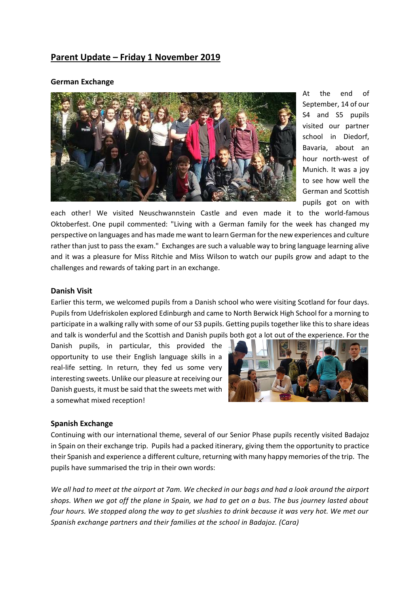# **Parent Update – Friday 1 November 2019**

#### **German Exchange**



At the end of September, 14 of our S4 and S5 pupils visited our partner school in Diedorf, Bavaria, about an hour north-west of Munich. It was a joy to see how well the German and Scottish pupils got on with

each other! We visited Neuschwannstein Castle and even made it to the world-famous Oktoberfest. One pupil commented: "Living with a German family for the week has changed my perspective on languages and has made me want to learn German for the new experiences and culture rather than just to pass the exam." Exchanges are such a valuable way to bring language learning alive and it was a pleasure for Miss Ritchie and Miss Wilson to watch our pupils grow and adapt to the challenges and rewards of taking part in an exchange.

#### **Danish Visit**

Earlier this term, we welcomed pupils from a Danish school who were visiting Scotland for four days. Pupils from Udefriskolen explored Edinburgh and came to North Berwick High School for a morning to participate in a walking rally with some of our S3 pupils. Getting pupils together like this to share ideas and talk is wonderful and the Scottish and Danish pupils both got a lot out of the experience. For the

Danish pupils, in particular, this provided the opportunity to use their English language skills in a real-life setting. In return, they fed us some very interesting sweets. Unlike our pleasure at receiving our Danish guests, it must be said that the sweets met with a somewhat mixed reception!



#### **Spanish Exchange**

Continuing with our international theme, several of our Senior Phase pupils recently visited Badajoz in Spain on their exchange trip. Pupils had a packed itinerary, giving them the opportunity to practice their Spanish and experience a different culture, returning with many happy memories of the trip. The pupils have summarised the trip in their own words:

*We all had to meet at the airport at 7am. We checked in our bags and had a look around the airport shops. When we got off the plane in Spain, we had to get on a bus. The bus journey lasted about four hours. We stopped along the way to get slushies to drink because it was very hot. We met our Spanish exchange partners and their families at the school in Badajoz. (Cara)*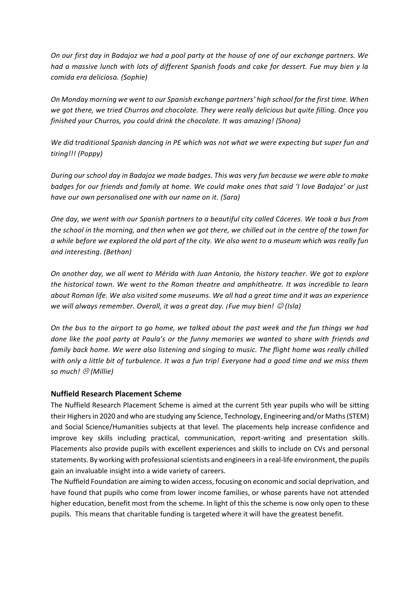*On our first day in Badajoz we had a pool party at the house of one of our exchange partners. We had a massive lunch with lots of different Spanish foods and cake for dessert. Fue muy bien y la comida era deliciosa. (Sophie)*

*On Monday morning we went to our Spanish exchange partners' high school for the first time. When we got there, we tried Churros and chocolate. They were really delicious but quite filling. Once you finished your Churros, you could drink the chocolate. It was amazing! (Shona)*

*We did traditional Spanish dancing in PE which was not what we were expecting but super fun and tiring!!! (Poppy)*

*During our school day in Badajoz we made badges. This was very fun because we were able to make badges for our friends and family at home. We could make ones that said 'I love Badajoz' or just have our own personalised one with our name on it. (Sara)*

*One day, we went with our Spanish partners to a beautiful city called Cáceres. We took a bus from the school in the morning, and then when we got there, we chilled out in the centre of the town for a while before we explored the old part of the city. We also went to a museum which was really fun and interesting. (Bethan)*

*On another day, we all went to Mérida with Juan Antonio, the history teacher. We got to explore the historical town. We went to the Roman theatre and amphitheatre. It was incredible to learn about Roman life. We also visited some museums. We all had a great time and it was an experience we will always remember. Overall, it was a great day. ¡Fue muy bien!*  $\mathcal{O}$  (Isla)

*On the bus to the airport to go home, we talked about the past week and the fun things we had done like the pool party at Paula's or the funny memories we wanted to share with friends and family back home. We were also listening and singing to music. The flight home was really chilled with only a little bit of turbulence. It was a fun trip! Everyone had a good time and we miss them so much! (Millie)*

# **Nuffield Research Placement Scheme**

The Nuffield Research Placement Scheme is aimed at the current 5th year pupils who will be sitting their Highers in 2020 and who are studying any Science, Technology, Engineering and/or Maths (STEM) and Social Science/Humanities subjects at that level. The placements help increase confidence and improve key skills including practical, communication, report-writing and presentation skills. Placements also provide pupils with excellent experiences and skills to include on CVs and personal statements. By working with professional scientists and engineers in a real-life environment, the pupils gain an invaluable insight into a wide variety of careers.

The Nuffield Foundation are aiming to widen access, focusing on economic and social deprivation, and have found that pupils who come from lower income families, or whose parents have not attended higher education, benefit most from the scheme. In light of this the scheme is now only open to these pupils. This means that charitable funding is targeted where it will have the greatest benefit.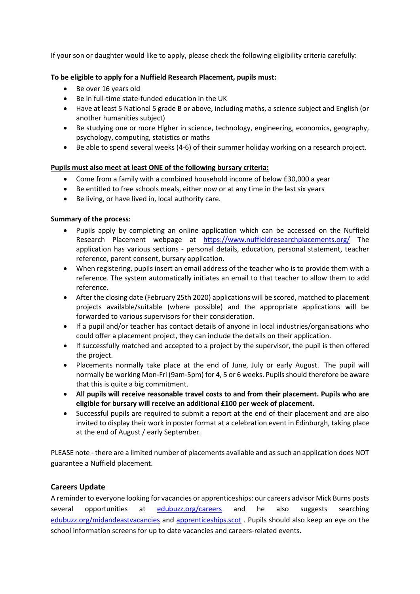If your son or daughter would like to apply, please check the following eligibility criteria carefully:

### **To be eligible to apply for a Nuffield Research Placement, pupils must:**

- Be over 16 years old
- Be in full-time state-funded education in the UK
- Have at least 5 National 5 grade B or above, including maths, a science subject and English (or another humanities subject)
- Be studying one or more Higher in science, technology, engineering, economics, geography, psychology, computing, statistics or maths
- Be able to spend several weeks (4-6) of their summer holiday working on a research project.

### **Pupils must also meet at least ONE of the following bursary criteria:**

- Come from a family with a combined household income of below £30,000 a year
- Be entitled to free schools meals, either now or at any time in the last six years
- Be living, or have lived in, local authority care.

### **Summary of the process:**

- Pupils apply by completing an online application which can be accessed on the Nuffield Research Placement webpage at [https://www.nuffieldresearchplacements.org/](https://www.nuffieldresearchplacements.org/#_blank) The application has various sections - personal details, education, personal statement, teacher reference, parent consent, bursary application.
- When registering, pupils insert an email address of the teacher who is to provide them with a reference. The system automatically initiates an email to that teacher to allow them to add reference.
- After the closing date (February 25th 2020) applications will be scored, matched to placement projects available/suitable (where possible) and the appropriate applications will be forwarded to various supervisors for their consideration.
- If a pupil and/or teacher has contact details of anyone in local industries/organisations who could offer a placement project, they can include the details on their application.
- If successfully matched and accepted to a project by the supervisor, the pupil is then offered the project.
- Placements normally take place at the end of June, July or early August. The pupil will normally be working Mon-Fri (9am-5pm) for 4, 5 or 6 weeks. Pupils should therefore be aware that this is quite a big commitment.
- **All pupils will receive reasonable travel costs to and from their placement. Pupils who are eligible for bursary will receive an additional £100 per week of placement.**
- Successful pupils are required to submit a report at the end of their placement and are also invited to display their work in poster format at a celebration event in Edinburgh, taking place at the end of August / early September.

PLEASE note - there are a limited number of placements available and as such an application does NOT guarantee a Nuffield placement.

# **Careers Update**

A reminder to everyone looking for vacancies or apprenticeships: our careers advisor Mick Burns posts several opportunities at [edubuzz.org/careers](https://www.edubuzz.org/careers/) and he also suggests searching [edubuzz.org/midandeastvacancies](https://www.edubuzz.org/midandeastvacancies/) and [apprenticeships.scot](https://www.apprenticeships.scot/) . Pupils should also keep an eye on the school information screens for up to date vacancies and careers-related events.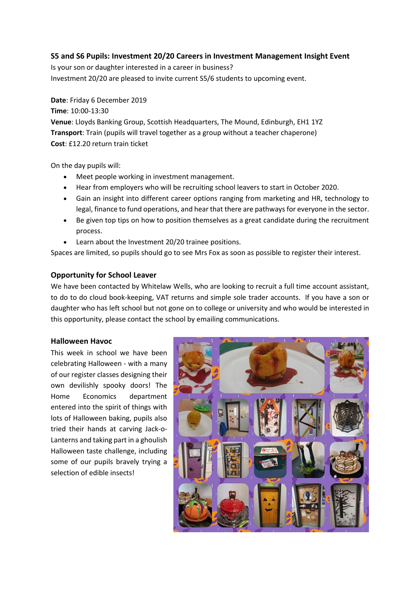# **S5 and S6 Pupils: Investment 20/20 Careers in Investment Management Insight Event**

Is your son or daughter interested in a career in business? Investment 20/20 are pleased to invite current S5/6 students to upcoming event.

**Date**: Friday 6 December 2019

**Time**: 10:00-13:30 **Venue**: Lloyds Banking Group, Scottish Headquarters, The Mound, Edinburgh, EH1 1YZ **Transport**: Train (pupils will travel together as a group without a teacher chaperone) **Cost**: £12.20 return train ticket

On the day pupils will:

- Meet people working in investment management.
- Hear from employers who will be recruiting school leavers to start in October 2020.
- Gain an insight into different career options ranging from marketing and HR, technology to legal, finance to fund operations, and hear that there are pathways for everyone in the sector.
- Be given top tips on how to position themselves as a great candidate during the recruitment process.
- Learn about the Investment 20/20 trainee positions.

Spaces are limited, so pupils should go to see Mrs Fox as soon as possible to register their interest.

# **Opportunity for School Leaver**

We have been contacted by Whitelaw Wells, who are looking to recruit a full time account assistant, to do to do cloud book-keeping, VAT returns and simple sole trader accounts. If you have a son or daughter who has left school but not gone on to college or university and who would be interested in this opportunity, please contact the school by emailing communications.

#### **Halloween Havoc**

This week in school we have been celebrating Halloween - with a many of our register classes designing their own devilishly spooky doors! The Home Economics department entered into the spirit of things with lots of Halloween baking, pupils also tried their hands at carving Jack-o-Lanterns and taking part in a ghoulish Halloween taste challenge, including some of our pupils bravely trying a selection of edible insects!

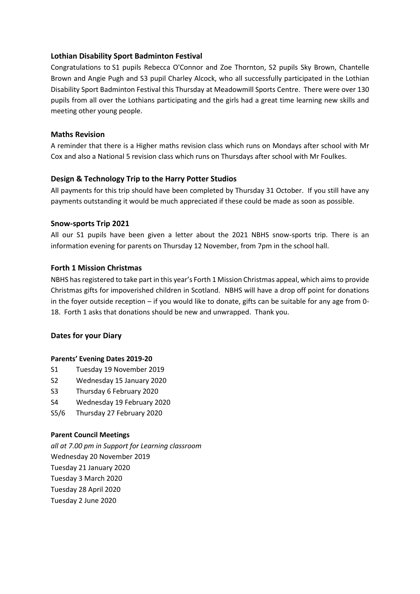# **Lothian Disability Sport Badminton Festival**

Congratulations to S1 pupils Rebecca O'Connor and Zoe Thornton, S2 pupils Sky Brown, Chantelle Brown and Angie Pugh and S3 pupil Charley Alcock, who all successfully participated in the Lothian Disability Sport Badminton Festival this Thursday at Meadowmill Sports Centre. There were over 130 pupils from all over the Lothians participating and the girls had a great time learning new skills and meeting other young people.

### **Maths Revision**

A reminder that there is a Higher maths revision class which runs on Mondays after school with Mr Cox and also a National 5 revision class which runs on Thursdays after school with Mr Foulkes.

# **Design & Technology Trip to the Harry Potter Studios**

All payments for this trip should have been completed by Thursday 31 October. If you still have any payments outstanding it would be much appreciated if these could be made as soon as possible.

### **Snow-sports Trip 2021**

All our S1 pupils have been given a letter about the 2021 NBHS snow-sports trip. There is an information evening for parents on Thursday 12 November, from 7pm in the school hall.

### **Forth 1 Mission Christmas**

NBHS has registered to take part in this year's Forth 1 Mission Christmas appeal, which aims to provide Christmas gifts for impoverished children in Scotland. NBHS will have a drop off point for donations in the foyer outside reception – if you would like to donate, gifts can be suitable for any age from 0- 18. Forth 1 asks that donations should be new and unwrapped. Thank you.

#### **Dates for your Diary**

#### **Parents' Evening Dates 2019-20**

- S1 Tuesday 19 November 2019
- S2 Wednesday 15 January 2020
- S3 Thursday 6 February 2020
- S4 Wednesday 19 February 2020
- S5/6 Thursday 27 February 2020

#### **Parent Council Meetings**

*all at 7.00 pm in Support for Learning classroom*  Wednesday 20 November 2019 Tuesday 21 January 2020 Tuesday 3 March 2020 Tuesday 28 April 2020 Tuesday 2 June 2020